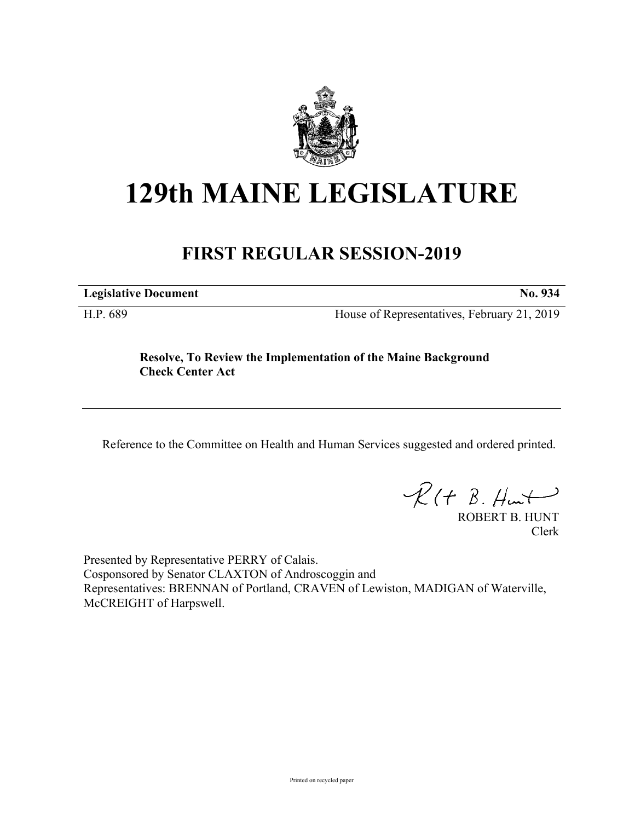

## **129th MAINE LEGISLATURE**

## **FIRST REGULAR SESSION-2019**

**Legislative Document No. 934**

H.P. 689 House of Representatives, February 21, 2019

**Resolve, To Review the Implementation of the Maine Background Check Center Act**

Reference to the Committee on Health and Human Services suggested and ordered printed.

 $R(t B. Hmt)$ 

ROBERT B. HUNT Clerk

Presented by Representative PERRY of Calais. Cosponsored by Senator CLAXTON of Androscoggin and Representatives: BRENNAN of Portland, CRAVEN of Lewiston, MADIGAN of Waterville, McCREIGHT of Harpswell.